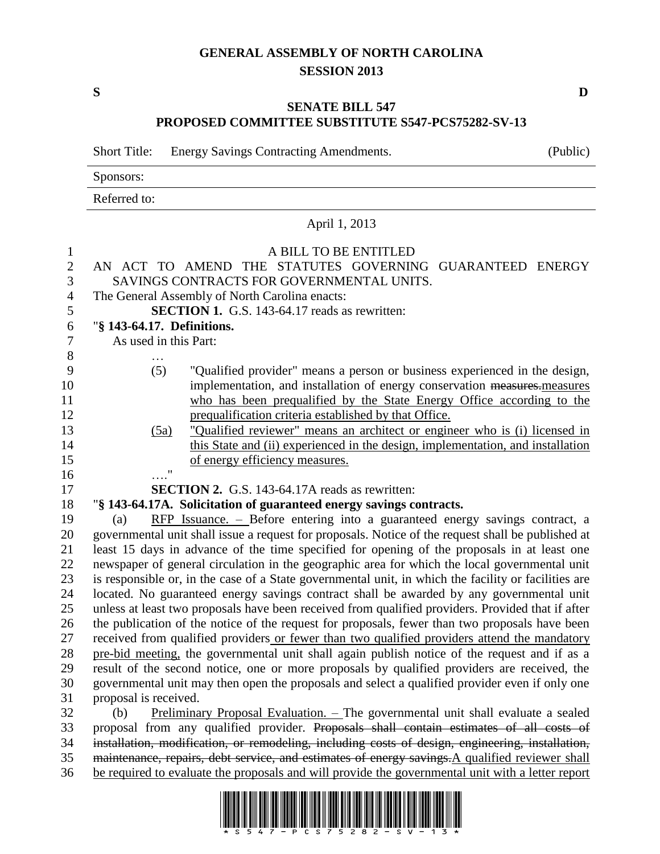# **GENERAL ASSEMBLY OF NORTH CAROLINA SESSION 2013**

**S D**

### **SENATE BILL 547 PROPOSED COMMITTEE SUBSTITUTE S547-PCS75282-SV-13**

Short Title: Energy Savings Contracting Amendments. (Public)

Sponsors:

Referred to:

|                                | April 1, 2013                                                                                                                                                                               |
|--------------------------------|---------------------------------------------------------------------------------------------------------------------------------------------------------------------------------------------|
| $\mathbf{1}$<br>$\overline{2}$ | A BILL TO BE ENTITLED<br>AN ACT TO AMEND THE STATUTES GOVERNING GUARANTEED ENERGY                                                                                                           |
| 3                              | SAVINGS CONTRACTS FOR GOVERNMENTAL UNITS.                                                                                                                                                   |
| $\overline{4}$                 | The General Assembly of North Carolina enacts:                                                                                                                                              |
| 5                              | <b>SECTION 1.</b> G.S. 143-64.17 reads as rewritten:                                                                                                                                        |
| 6                              | "§ 143-64.17. Definitions.                                                                                                                                                                  |
| $\boldsymbol{7}$               | As used in this Part:                                                                                                                                                                       |
| 8                              |                                                                                                                                                                                             |
| 9                              | (5)<br>"Qualified provider" means a person or business experienced in the design,                                                                                                           |
| 10                             | implementation, and installation of energy conservation measures. measures                                                                                                                  |
| 11                             | who has been prequalified by the State Energy Office according to the                                                                                                                       |
| 12                             | prequalification criteria established by that Office.                                                                                                                                       |
| 13                             | "Qualified reviewer" means an architect or engineer who is (i) licensed in<br>(5a)                                                                                                          |
| 14                             | this State and (ii) experienced in the design, implementation, and installation                                                                                                             |
| 15                             | of energy efficiency measures.                                                                                                                                                              |
| 16                             | $\boldsymbol{\mathsf{H}}$                                                                                                                                                                   |
| 17                             | <b>SECTION 2.</b> G.S. 143-64.17A reads as rewritten:                                                                                                                                       |
| 18                             | "§ 143-64.17A. Solicitation of guaranteed energy savings contracts.                                                                                                                         |
| 19                             | RFP Issuance. - Before entering into a guaranteed energy savings contract, a<br>(a)                                                                                                         |
| 20                             | governmental unit shall issue a request for proposals. Notice of the request shall be published at                                                                                          |
| 21                             | least 15 days in advance of the time specified for opening of the proposals in at least one                                                                                                 |
| 22                             | newspaper of general circulation in the geographic area for which the local governmental unit                                                                                               |
| 23                             | is responsible or, in the case of a State governmental unit, in which the facility or facilities are                                                                                        |
| 24                             | located. No guaranteed energy savings contract shall be awarded by any governmental unit                                                                                                    |
| 25                             | unless at least two proposals have been received from qualified providers. Provided that if after                                                                                           |
| 26                             | the publication of the notice of the request for proposals, fewer than two proposals have been                                                                                              |
| 27                             | received from qualified providers or fewer than two qualified providers attend the mandatory                                                                                                |
| 28<br>29                       | pre-bid meeting, the governmental unit shall again publish notice of the request and if as a<br>result of the second notice, one or more proposals by qualified providers are received, the |
| 30                             | governmental unit may then open the proposals and select a qualified provider even if only one                                                                                              |
| 31                             | proposal is received.                                                                                                                                                                       |
| 32                             | Preliminary Proposal Evaluation. - The governmental unit shall evaluate a sealed<br>(b)                                                                                                     |
| 33                             | proposal from any qualified provider. Proposals shall contain estimates of all costs of                                                                                                     |
| 34                             | installation, modification, or remodeling, including costs of design, engineering, installation,                                                                                            |
| 35                             | maintenance, repairs, debt service, and estimates of energy savings. A qualified reviewer shall                                                                                             |

36 be required to evaluate the proposals and will provide the governmental unit with a letter report

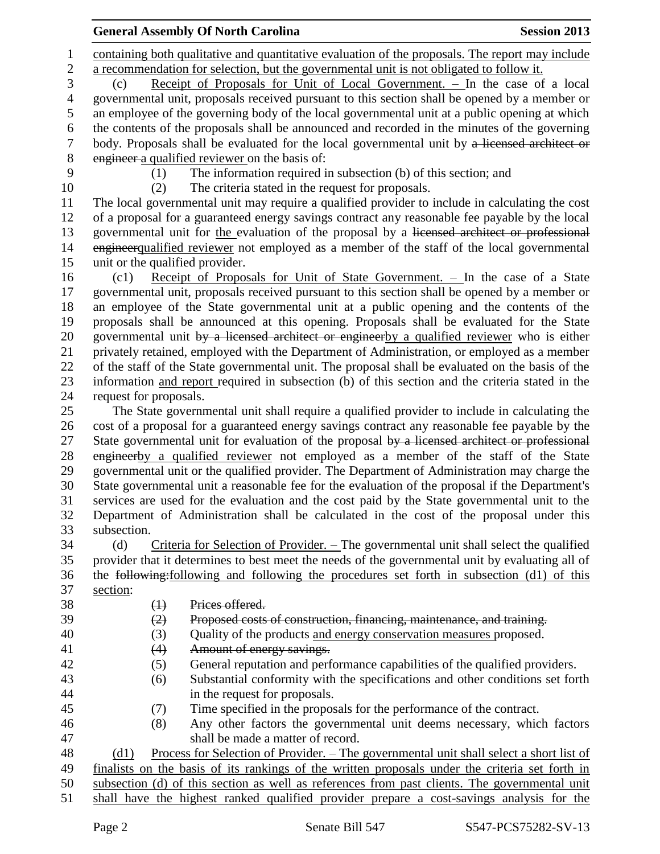## **General Assembly Of North Carolina Session 2013**

 containing both qualitative and quantitative evaluation of the proposals. The report may include a recommendation for selection, but the governmental unit is not obligated to follow it.

 (c) Receipt of Proposals for Unit of Local Government. – In the case of a local governmental unit, proposals received pursuant to this section shall be opened by a member or an employee of the governing body of the local governmental unit at a public opening at which the contents of the proposals shall be announced and recorded in the minutes of the governing body. Proposals shall be evaluated for the local governmental unit by a licensed architect or engineer a qualified reviewer on the basis of:

(1) The information required in subsection (b) of this section; and

(2) The criteria stated in the request for proposals.

 The local governmental unit may require a qualified provider to include in calculating the cost of a proposal for a guaranteed energy savings contract any reasonable fee payable by the local governmental unit for the evaluation of the proposal by a licensed architect or professional 14 engineer qualified reviewer not employed as a member of the staff of the local governmental unit or the qualified provider.

 (c1) Receipt of Proposals for Unit of State Government. – In the case of a State governmental unit, proposals received pursuant to this section shall be opened by a member or an employee of the State governmental unit at a public opening and the contents of the proposals shall be announced at this opening. Proposals shall be evaluated for the State 20 governmental unit by a licensed architect or engineerby a qualified reviewer who is either privately retained, employed with the Department of Administration, or employed as a member of the staff of the State governmental unit. The proposal shall be evaluated on the basis of the information and report required in subsection (b) of this section and the criteria stated in the request for proposals.

 The State governmental unit shall require a qualified provider to include in calculating the cost of a proposal for a guaranteed energy savings contract any reasonable fee payable by the 27 State governmental unit for evaluation of the proposal by a licensed architect or professional 28 engineerby a qualified reviewer not employed as a member of the staff of the State governmental unit or the qualified provider. The Department of Administration may charge the State governmental unit a reasonable fee for the evaluation of the proposal if the Department's services are used for the evaluation and the cost paid by the State governmental unit to the Department of Administration shall be calculated in the cost of the proposal under this subsection.

 (d) Criteria for Selection of Provider. – The governmental unit shall select the qualified provider that it determines to best meet the needs of the governmental unit by evaluating all of the following:following and following the procedures set forth in subsection (d1) of this section:

- (1) Prices offered.
- (2) Proposed costs of construction, financing, maintenance, and training.
- (3) Quality of the products and energy conservation measures proposed.
- 41 (4) Amount of energy savings.
- (5) General reputation and performance capabilities of the qualified providers.
- (6) Substantial conformity with the specifications and other conditions set forth in the request for proposals.
- 
- (7) Time specified in the proposals for the performance of the contract.
- (8) Any other factors the governmental unit deems necessary, which factors shall be made a matter of record.

 (d1) Process for Selection of Provider. – The governmental unit shall select a short list of finalists on the basis of its rankings of the written proposals under the criteria set forth in

subsection (d) of this section as well as references from past clients. The governmental unit

- 
- shall have the highest ranked qualified provider prepare a cost-savings analysis for the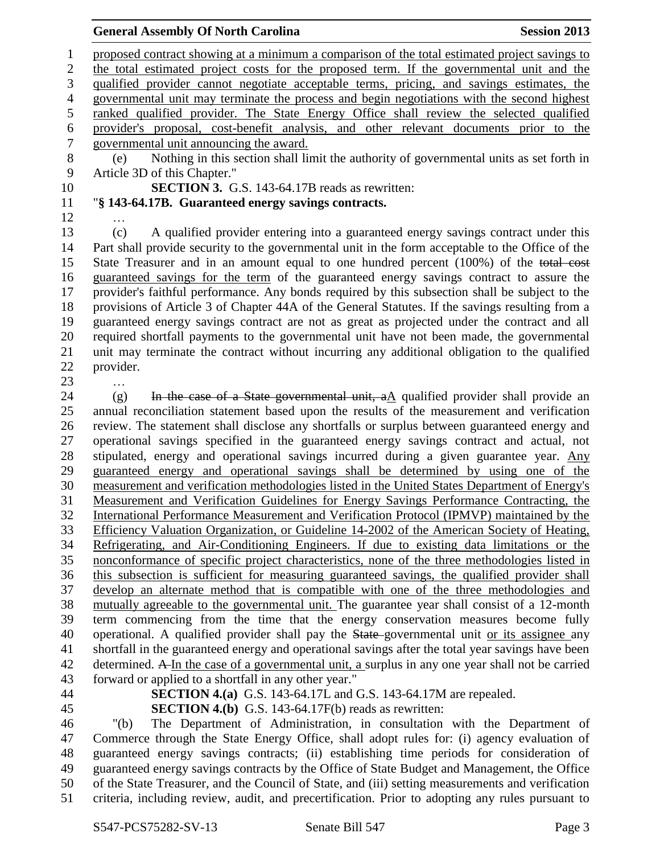#### **General Assembly Of North Carolina Session 2013**

 proposed contract showing at a minimum a comparison of the total estimated project savings to the total estimated project costs for the proposed term. If the governmental unit and the qualified provider cannot negotiate acceptable terms, pricing, and savings estimates, the governmental unit may terminate the process and begin negotiations with the second highest ranked qualified provider. The State Energy Office shall review the selected qualified provider's proposal, cost-benefit analysis, and other relevant documents prior to the governmental unit announcing the award. (e) Nothing in this section shall limit the authority of governmental units as set forth in Article 3D of this Chapter." **SECTION 3.** G.S. 143-64.17B reads as rewritten: "**§ 143-64.17B. Guaranteed energy savings contracts.** … (c) A qualified provider entering into a guaranteed energy savings contract under this Part shall provide security to the governmental unit in the form acceptable to the Office of the State Treasurer and in an amount equal to one hundred percent (100%) of the total cost guaranteed savings for the term of the guaranteed energy savings contract to assure the provider's faithful performance. Any bonds required by this subsection shall be subject to the provisions of Article 3 of Chapter 44A of the General Statutes. If the savings resulting from a guaranteed energy savings contract are not as great as projected under the contract and all required shortfall payments to the governmental unit have not been made, the governmental unit may terminate the contract without incurring any additional obligation to the qualified provider. … 24 (g) In the case of a State governmental unit,  $aA$  qualified provider shall provide an annual reconciliation statement based upon the results of the measurement and verification review. The statement shall disclose any shortfalls or surplus between guaranteed energy and operational savings specified in the guaranteed energy savings contract and actual, not 28 stipulated, energy and operational savings incurred during a given guarantee year. Any guaranteed energy and operational savings shall be determined by using one of the measurement and verification methodologies listed in the United States Department of Energy's Measurement and Verification Guidelines for Energy Savings Performance Contracting, the International Performance Measurement and Verification Protocol (IPMVP) maintained by the Efficiency Valuation Organization, or Guideline 14-2002 of the American Society of Heating, Refrigerating, and Air-Conditioning Engineers. If due to existing data limitations or the nonconformance of specific project characteristics, none of the three methodologies listed in this subsection is sufficient for measuring guaranteed savings, the qualified provider shall develop an alternate method that is compatible with one of the three methodologies and mutually agreeable to the governmental unit. The guarantee year shall consist of a 12-month term commencing from the time that the energy conservation measures become fully 40 operational. A qualified provider shall pay the State-governmental unit or its assignee any shortfall in the guaranteed energy and operational savings after the total year savings have been determined. A In the case of a governmental unit, a surplus in any one year shall not be carried forward or applied to a shortfall in any other year." **SECTION 4.(a)** G.S. 143-64.17L and G.S. 143-64.17M are repealed. **SECTION 4.(b)** G.S. 143-64.17F(b) reads as rewritten:

 "(b) The Department of Administration, in consultation with the Department of Commerce through the State Energy Office, shall adopt rules for: (i) agency evaluation of guaranteed energy savings contracts; (ii) establishing time periods for consideration of guaranteed energy savings contracts by the Office of State Budget and Management, the Office of the State Treasurer, and the Council of State, and (iii) setting measurements and verification criteria, including review, audit, and precertification. Prior to adopting any rules pursuant to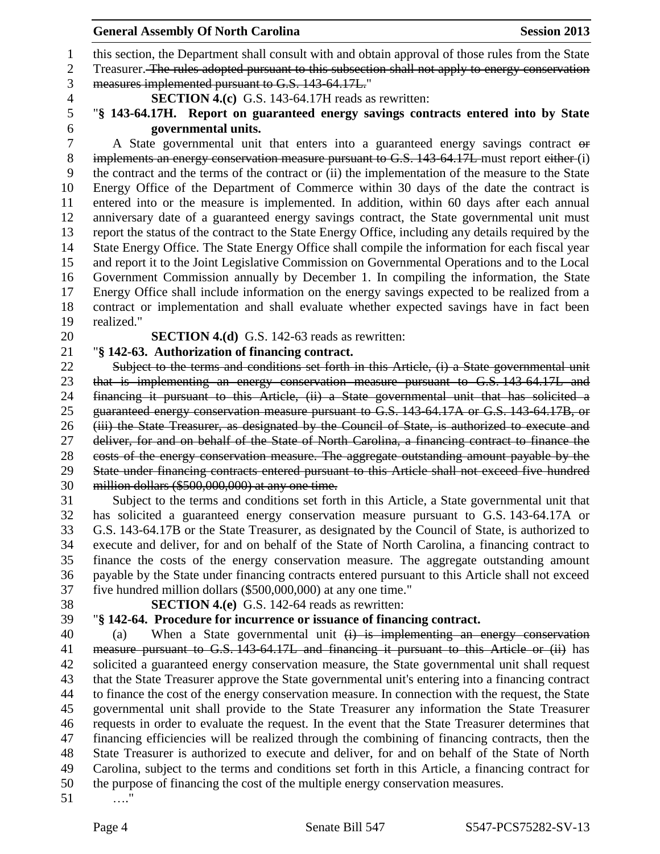#### **General Assembly Of North Carolina Session 2013**

this section, the Department shall consult with and obtain approval of those rules from the State

2 Treasurer. The rules adopted pursuant to this subsection shall not apply to energy conservation measures implemented pursuant to G.S. 143-64.17L."

**SECTION 4.(c)** G.S. 143-64.17H reads as rewritten:

 "**§ 143-64.17H. Report on guaranteed energy savings contracts entered into by State governmental units.**

A State governmental unit that enters into a guaranteed energy savings contract or implements an energy conservation measure pursuant to G.S. 143-64.17L must report either (i) the contract and the terms of the contract or (ii) the implementation of the measure to the State Energy Office of the Department of Commerce within 30 days of the date the contract is entered into or the measure is implemented. In addition, within 60 days after each annual anniversary date of a guaranteed energy savings contract, the State governmental unit must report the status of the contract to the State Energy Office, including any details required by the State Energy Office. The State Energy Office shall compile the information for each fiscal year and report it to the Joint Legislative Commission on Governmental Operations and to the Local Government Commission annually by December 1. In compiling the information, the State Energy Office shall include information on the energy savings expected to be realized from a contract or implementation and shall evaluate whether expected savings have in fact been realized."

**SECTION 4.(d)** G.S. 142-63 reads as rewritten:

"**§ 142-63. Authorization of financing contract.**

 Subject to the terms and conditions set forth in this Article, (i) a State governmental unit that is implementing an energy conservation measure pursuant to G.S. 143-64.17L and financing it pursuant to this Article, (ii) a State governmental unit that has solicited a guaranteed energy conservation measure pursuant to G.S. 143-64.17A or G.S. 143-64.17B, or (iii) the State Treasurer, as designated by the Council of State, is authorized to execute and 27 deliver, for and on behalf of the State of North Carolina, a financing contract to finance the costs of the energy conservation measure. The aggregate outstanding amount payable by the State under financing contracts entered pursuant to this Article shall not exceed five hundred million dollars (\$500,000,000) at any one time.

 Subject to the terms and conditions set forth in this Article, a State governmental unit that has solicited a guaranteed energy conservation measure pursuant to G.S. 143-64.17A or G.S. 143-64.17B or the State Treasurer, as designated by the Council of State, is authorized to execute and deliver, for and on behalf of the State of North Carolina, a financing contract to finance the costs of the energy conservation measure. The aggregate outstanding amount payable by the State under financing contracts entered pursuant to this Article shall not exceed five hundred million dollars (\$500,000,000) at any one time."

**SECTION 4.(e)** G.S. 142-64 reads as rewritten:

# "**§ 142-64. Procedure for incurrence or issuance of financing contract.**

 (a) When a State governmental unit (i) is implementing an energy conservation 41 measure pursuant to G.S. 143-64.17L and financing it pursuant to this Article or (ii) has solicited a guaranteed energy conservation measure, the State governmental unit shall request that the State Treasurer approve the State governmental unit's entering into a financing contract to finance the cost of the energy conservation measure. In connection with the request, the State governmental unit shall provide to the State Treasurer any information the State Treasurer requests in order to evaluate the request. In the event that the State Treasurer determines that financing efficiencies will be realized through the combining of financing contracts, then the State Treasurer is authorized to execute and deliver, for and on behalf of the State of North Carolina, subject to the terms and conditions set forth in this Article, a financing contract for the purpose of financing the cost of the multiple energy conservation measures.

…."